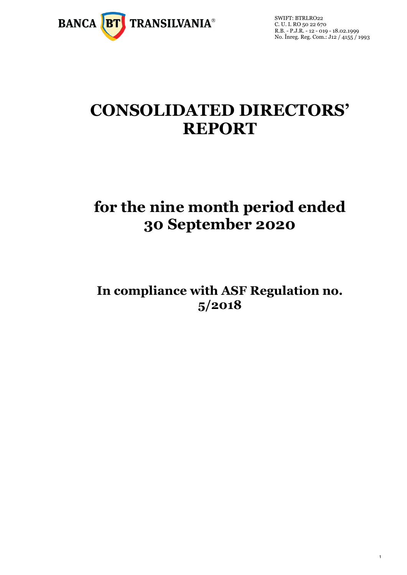

1

# **CONSOLIDATED DIRECTORS' REPORT**

# **for the nine month period ended 30 September 2020**

**In compliance with ASF Regulation no. 5/2018**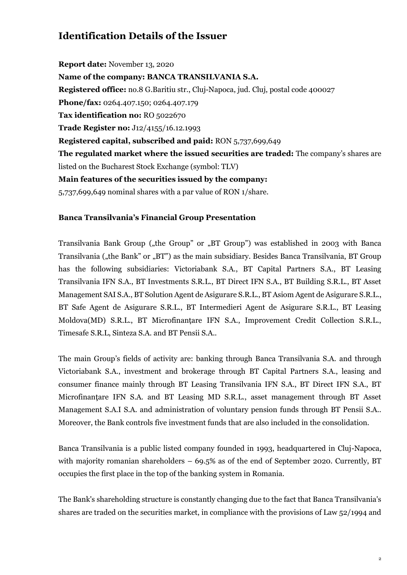# **Identification Details of the Issuer**

**Report date:** November 13, 2020 **Name of the company: BANCA TRANSILVANIA S.A. Registered office:** no.8 G.Baritiu str., Cluj-Napoca, jud. Cluj, postal code 400027 **Phone/fax:** 0264.407.150; 0264.407.179 **Tax identification no:** RO 5022670 **Trade Register no:** J12/4155/16.12.1993 **Registered capital, subscribed and paid:** RON 5,737,699,649 **The regulated market where the issued securities are traded:** The company's shares are listed on the Bucharest Stock Exchange (symbol: TLV) **Main features of the securities issued by the company:**  5,737,699,649 nominal shares with a par value of RON 1/share.

#### **Banca Transilvania's Financial Group Presentation**

Transilvania Bank Group ("the Group" or "BT Group") was established in 2003 with Banca Transilvania ("the Bank" or "BT") as the main subsidiary. Besides Banca Transilvania, BT Group has the following subsidiaries: Victoriabank S.A., BT Capital Partners S.A., BT Leasing Transilvania IFN S.A., BT Investments S.R.L., BT Direct IFN S.A., BT Building S.R.L., BT Asset Management SAI S.A., BT Solution Agent de Asigurare S.R.L., BT Asiom Agent de Asigurare S.R.L., BT Safe Agent de Asigurare S.R.L., BT Intermedieri Agent de Asigurare S.R.L., BT Leasing Moldova(MD) S.R.L., BT Microfinanțare IFN S.A., Improvement Credit Collection S.R.L., Timesafe S.R.L, Sinteza S.A. and BT Pensii S.A..

The main Group's fields of activity are: banking through Banca Transilvania S.A. and through Victoriabank S.A., investment and brokerage through BT Capital Partners S.A., leasing and consumer finance mainly through BT Leasing Transilvania IFN S.A., BT Direct IFN S.A., BT Microfinanţare IFN S.A. and BT Leasing MD S.R.L., asset management through BT Asset Management S.A.I S.A. and administration of voluntary pension funds through BT Pensii S.A.. Moreover, the Bank controls five investment funds that are also included in the consolidation.

Banca Transilvania is a public listed company founded in 1993, headquartered in Cluj-Napoca, with majority romanian shareholders  $-69.5\%$  as of the end of September 2020. Currently, BT occupies the first place in the top of the banking system in Romania.

The Bank's shareholding structure is constantly changing due to the fact that Banca Transilvania's shares are traded on the securities market, in compliance with the provisions of Law 52/1994 and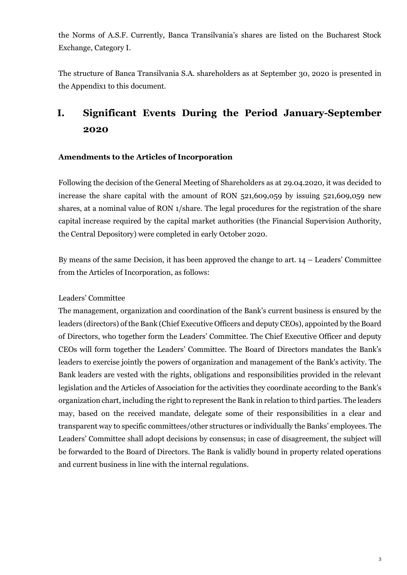the Norms of A.S.F. Currently, Banca Transilvania's shares are listed on the Bucharest Stock Exchange, Category I.

The structure of Banca Transilvania S.A. shareholders as at September 30, 2020 is presented in the Appendix1 to this document.

# **I. Significant Events During the Period January-September 2020**

#### **Amendments to the Articles of Incorporation**

Following the decision of the General Meeting of Shareholders as at 29.04.2020, it was decided to increase the share capital with the amount of RON 521,609,059 by issuing 521,609,059 new shares, at a nominal value of RON 1/share. The legal procedures for the registration of the share capital increase required by the capital market authorities (the Financial Supervision Authority, the Central Depository) were completed in early October 2020.

By means of the same Decision, it has been approved the change to art. 14 – Leaders' Committee from the Articles of Incorporation, as follows:

#### Leaders' Committee

The management, organization and coordination of the Bank's current business is ensured by the leaders (directors) of the Bank (Chief Executive Officers and deputy CEOs), appointed by the Board of Directors, who together form the Leaders' Committee. The Chief Executive Officer and deputy CEOs will form together the Leaders' Committee. The Board of Directors mandates the Bank's leaders to exercise jointly the powers of organization and management of the Bank's activity. The Bank leaders are vested with the rights, obligations and responsibilities provided in the relevant legislation and the Articles of Association for the activities they coordinate according to the Bank's organization chart, including the right to represent the Bank in relation to third parties. The leaders may, based on the received mandate, delegate some of their responsibilities in a clear and transparent way to specific committees/other structures or individually the Banks' employees. The Leaders' Committee shall adopt decisions by consensus; in case of disagreement, the subject will be forwarded to the Board of Directors. The Bank is validly bound in property related operations and current business in line with the internal regulations.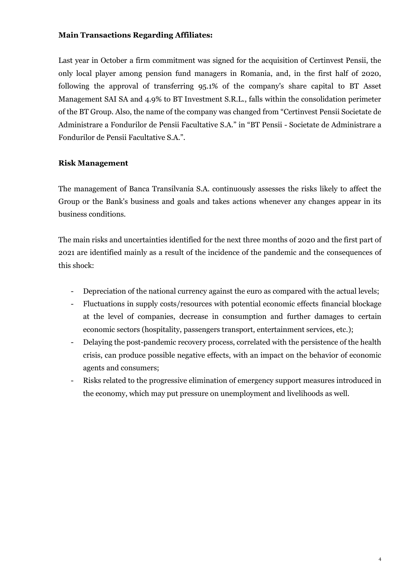#### **Main Transactions Regarding Affiliates:**

Last year in October a firm commitment was signed for the acquisition of Certinvest Pensii, the only local player among pension fund managers in Romania, and, in the first half of 2020, following the approval of transferring 95.1% of the company's share capital to BT Asset Management SAI SA and 4.9% to BT Investment S.R.L., falls within the consolidation perimeter of the BT Group. Also, the name of the company was changed from "Certinvest Pensii Societate de Administrare a Fondurilor de Pensii Facultative S.A." in "BT Pensii - Societate de Administrare a Fondurilor de Pensii Facultative S.A.".

#### **Risk Management**

The management of Banca Transilvania S.A. continuously assesses the risks likely to affect the Group or the Bank's business and goals and takes actions whenever any changes appear in its business conditions.

The main risks and uncertainties identified for the next three months of 2020 and the first part of 2021 are identified mainly as a result of the incidence of the pandemic and the consequences of this shock:

- Depreciation of the national currency against the euro as compared with the actual levels;
- Fluctuations in supply costs/resources with potential economic effects financial blockage at the level of companies, decrease in consumption and further damages to certain economic sectors (hospitality, passengers transport, entertainment services, etc.);
- Delaying the post-pandemic recovery process, correlated with the persistence of the health crisis, can produce possible negative effects, with an impact on the behavior of economic agents and consumers;
- Risks related to the progressive elimination of emergency support measures introduced in the economy, which may put pressure on unemployment and livelihoods as well.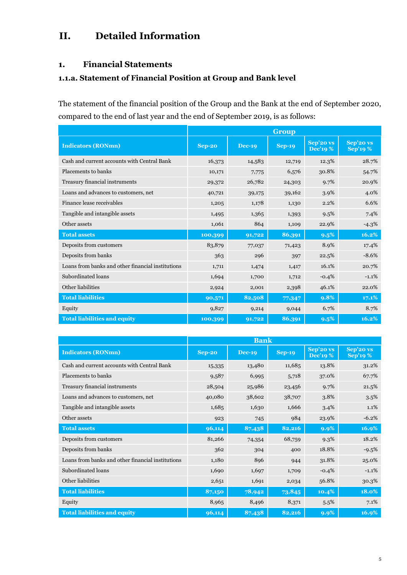# **II. Detailed Information**

#### **1. Financial Statements**

#### **1.1.a. Statement of Financial Position at Group and Bank level**

The statement of the financial position of the Group and the Bank at the end of September 2020, compared to the end of last year and the end of September 2019, is as follows:

|                                                   | Group         |               |               |                             |                             |
|---------------------------------------------------|---------------|---------------|---------------|-----------------------------|-----------------------------|
| <b>Indicators (RONmn)</b>                         | <b>Sep-20</b> | <b>Dec-19</b> | <b>Sep-19</b> | Sep'20 vs<br><b>Dec'19%</b> | Sep'20 vs<br><b>Sep'19%</b> |
| Cash and current accounts with Central Bank       | 16,373        | 14,583        | 12,719        | 12.3%                       | 28.7%                       |
| Placements to banks                               | 10,171        | 7,775         | 6,576         | 30.8%                       | 54.7%                       |
| Treasury financial instruments                    | 29,372        | 26,782        | 24,303        | 9.7%                        | 20.9%                       |
| Loans and advances to customers, net              | 40,721        | 39,175        | 39,162        | 3.9%                        | 4.0%                        |
| Finance lease receivables                         | 1,205         | 1,178         | 1,130         | 2.2%                        | 6.6%                        |
| Tangible and intangible assets                    | 1,495         | 1,365         | 1,393         | 9.5%                        | 7.4%                        |
| Other assets                                      | 1,061         | 864           | 1,109         | 22.9%                       | $-4.3\%$                    |
| <b>Total assets</b>                               | 100,399       | 91,722        | 86,391        | 9.5%                        | 16.2%                       |
| Deposits from customers                           | 83,879        | 77,037        | 71,423        | 8.9%                        | 17.4%                       |
| Deposits from banks                               | 363           | 296           | 397           | 22.5%                       | $-8.6%$                     |
| Loans from banks and other financial institutions | 1,711         | 1,474         | 1,417         | 16.1%                       | 20.7%                       |
| Subordinated loans                                | 1,694         | 1,700         | 1,712         | $-0.4%$                     | $-1.1%$                     |
| Other liabilities                                 | 2,924         | 2,001         | 2,398         | 46.1%                       | 22.0%                       |
| <b>Total liabilities</b>                          | 90,571        | 82,508        | 77,347        | 9.8%                        | $17.1\%$                    |
| Equity                                            | 9,827         | 9,214         | 9,044         | 6.7%                        | 8.7%                        |
| <b>Total liabilities and equity</b>               | 100,399       | 91,722        | 86,391        | 9.5%                        | 16.2%                       |

|                                                   | <b>Bank</b>   |          |          |                             |                              |
|---------------------------------------------------|---------------|----------|----------|-----------------------------|------------------------------|
| <b>Indicators (RONmn)</b>                         | <b>Sep-20</b> | $Dec-19$ | $Sep-19$ | Sep'20 vs<br><b>Dec'19%</b> | Sep'20 vs<br><b>Sep'19 %</b> |
| Cash and current accounts with Central Bank       | 15,335        | 13,480   | 11,685   | 13.8%                       | 31.2%                        |
| Placements to banks                               | 9,587         | 6,995    | 5,718    | 37.0%                       | 67.7%                        |
| Treasury financial instruments                    | 28,504        | 25,986   | 23,456   | 9.7%                        | 21.5%                        |
| Loans and advances to customers, net              | 40,080        | 38,602   | 38,707   | 3.8%                        | 3.5%                         |
| Tangible and intangible assets                    | 1,685         | 1,630    | 1,666    | 3.4%                        | 1.1%                         |
| Other assets                                      | 923           | 745      | 984      | 23.9%                       | $-6.2%$                      |
| <b>Total assets</b>                               | 96,114        | 87,438   | 82,216   | 9.9%                        | 16.9%                        |
| Deposits from customers                           | 81,266        | 74,354   | 68,759   | $9.3\%$                     | 18.2%                        |
| Deposits from banks                               | 362           | 304      | 400      | 18.8%                       | $-9.5%$                      |
| Loans from banks and other financial institutions | 1,180         | 896      | 944      | 31.8%                       | 25.0%                        |
| Subordinated loans                                | 1,690         | 1,697    | 1,709    | $-0.4%$                     | $-1.1%$                      |
| Other liabilities                                 | 2,651         | 1,691    | 2,034    | 56.8%                       | 30.3%                        |
| <b>Total liabilities</b>                          | 87,150        | 78,942   | 73,845   | 10.4%                       | 18.0%                        |
| Equity                                            | 8,965         | 8,496    | 8,371    | 5.5%                        | 7.1%                         |
| <b>Total liabilities and equity</b>               | 96,114        | 87,438   | 82,216   | $9.9\%$                     | 16.9%                        |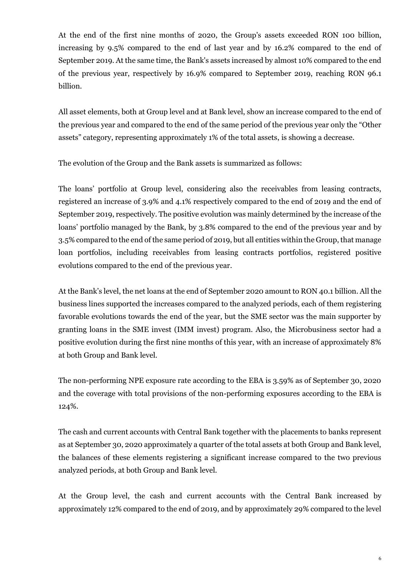At the end of the first nine months of 2020, the Group's assets exceeded RON 100 billion, increasing by 9.5% compared to the end of last year and by 16.2% compared to the end of September 2019. At the same time, the Bank's assets increased by almost 10% compared to the end of the previous year, respectively by 16.9% compared to September 2019, reaching RON 96.1 billion.

All asset elements, both at Group level and at Bank level, show an increase compared to the end of the previous year and compared to the end of the same period of the previous year only the "Other assets" category, representing approximately 1% of the total assets, is showing a decrease.

The evolution of the Group and the Bank assets is summarized as follows:

The loans' portfolio at Group level, considering also the receivables from leasing contracts, registered an increase of 3.9% and 4.1% respectively compared to the end of 2019 and the end of September 2019, respectively. The positive evolution was mainly determined by the increase of the loans' portfolio managed by the Bank, by 3.8% compared to the end of the previous year and by 3.5% compared to the end of the same period of 2019, but all entities within the Group, that manage loan portfolios, including receivables from leasing contracts portfolios, registered positive evolutions compared to the end of the previous year.

At the Bank's level, the net loans at the end of September 2020 amount to RON 40.1 billion. All the business lines supported the increases compared to the analyzed periods, each of them registering favorable evolutions towards the end of the year, but the SME sector was the main supporter by granting loans in the SME invest (IMM invest) program. Also, the Microbusiness sector had a positive evolution during the first nine months of this year, with an increase of approximately 8% at both Group and Bank level.

The non-performing NPE exposure rate according to the EBA is 3.59% as of September 30, 2020 and the coverage with total provisions of the non-performing exposures according to the EBA is 124%.

The cash and current accounts with Central Bank together with the placements to banks represent as at September 30, 2020 approximately a quarter of the total assets at both Group and Bank level, the balances of these elements registering a significant increase compared to the two previous analyzed periods, at both Group and Bank level.

At the Group level, the cash and current accounts with the Central Bank increased by approximately 12% compared to the end of 2019, and by approximately 29% compared to the level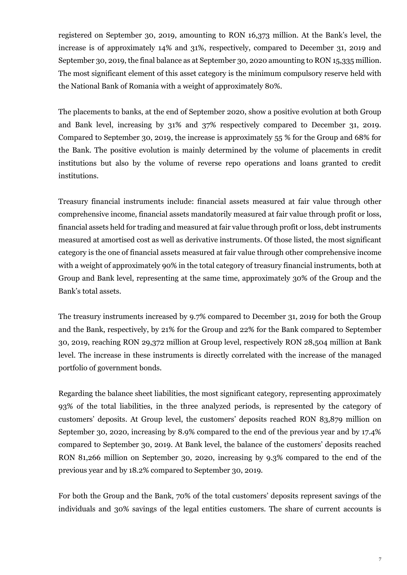registered on September 30, 2019, amounting to RON 16,373 million. At the Bank's level, the increase is of approximately 14% and 31%, respectively, compared to December 31, 2019 and September 30, 2019, the final balance as at September 30, 2020 amounting to RON 15,335 million. The most significant element of this asset category is the minimum compulsory reserve held with the National Bank of Romania with a weight of approximately 80%.

The placements to banks, at the end of September 2020, show a positive evolution at both Group and Bank level, increasing by 31% and 37% respectively compared to December 31, 2019. Compared to September 30, 2019, the increase is approximately 55 % for the Group and 68% for the Bank. The positive evolution is mainly determined by the volume of placements in credit institutions but also by the volume of reverse repo operations and loans granted to credit institutions.

Treasury financial instruments include: financial assets measured at fair value through other comprehensive income, financial assets mandatorily measured at fair value through profit or loss, financial assets held for trading and measured at fair value through profit or loss, debt instruments measured at amortised cost as well as derivative instruments. Of those listed, the most significant category is the one of financial assets measured at fair value through other comprehensive income with a weight of approximately 90% in the total category of treasury financial instruments, both at Group and Bank level, representing at the same time, approximately 30% of the Group and the Bank's total assets.

The treasury instruments increased by 9.7% compared to December 31, 2019 for both the Group and the Bank, respectively, by 21% for the Group and 22% for the Bank compared to September 30, 2019, reaching RON 29,372 million at Group level, respectively RON 28,504 million at Bank level. The increase in these instruments is directly correlated with the increase of the managed portfolio of government bonds.

Regarding the balance sheet liabilities, the most significant category, representing approximately 93% of the total liabilities, in the three analyzed periods, is represented by the category of customers' deposits. At Group level, the customers' deposits reached RON 83,879 million on September 30, 2020, increasing by 8.9% compared to the end of the previous year and by 17.4% compared to September 30, 2019. At Bank level, the balance of the customers' deposits reached RON 81,266 million on September 30, 2020, increasing by 9.3% compared to the end of the previous year and by 18.2% compared to September 30, 2019.

For both the Group and the Bank, 70% of the total customers' deposits represent savings of the individuals and 30% savings of the legal entities customers. The share of current accounts is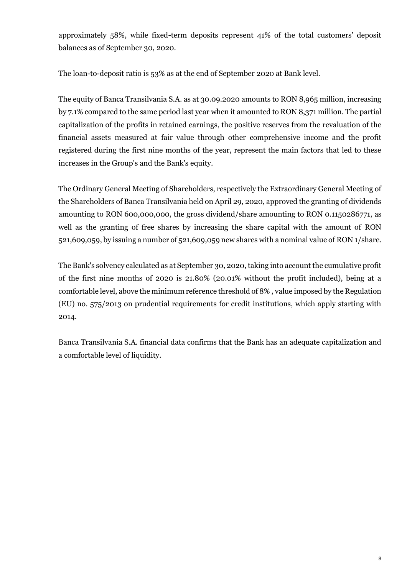approximately 58%, while fixed-term deposits represent 41% of the total customers' deposit balances as of September 30, 2020.

The loan-to-deposit ratio is 53% as at the end of September 2020 at Bank level.

The equity of Banca Transilvania S.A. as at 30.09.2020 amounts to RON 8,965 million, increasing by 7.1% compared to the same period last year when it amounted to RON 8,371 million. The partial capitalization of the profits in retained earnings, the positive reserves from the revaluation of the financial assets measured at fair value through other comprehensive income and the profit registered during the first nine months of the year, represent the main factors that led to these increases in the Group's and the Bank's equity.

The Ordinary General Meeting of Shareholders, respectively the Extraordinary General Meeting of the Shareholders of Banca Transilvania held on April 29, 2020, approved the granting of dividends amounting to RON 600,000,000, the gross dividend/share amounting to RON 0.1150286771, as well as the granting of free shares by increasing the share capital with the amount of RON 521,609,059, by issuing a number of 521,609,059 new shares with a nominal value of RON 1/share.

The Bank's solvency calculated as at September 30, 2020, taking into account the cumulative profit of the first nine months of 2020 is 21.80% (20.01% without the profit included), being at a comfortable level, above the minimum reference threshold of 8% , value imposed by the Regulation (EU) no. 575/2013 on prudential requirements for credit institutions, which apply starting with 2014.

Banca Transilvania S.A. financial data confirms that the Bank has an adequate capitalization and a comfortable level of liquidity.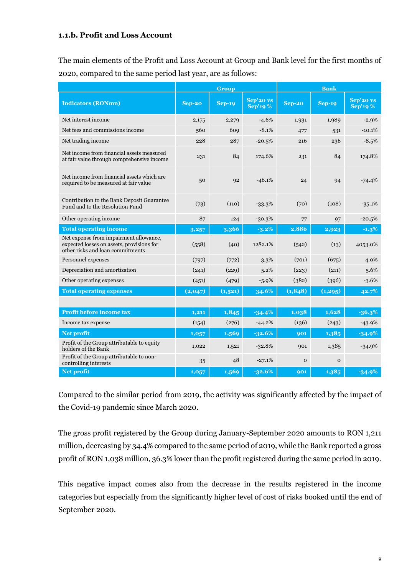#### **1.1.b. Profit and Loss Account**

The main elements of the Profit and Loss Account at Group and Bank level for the first months of 2020, compared to the same period last year, are as follows:

|                                                                                                                         | Group         |               |                             | <b>Bank</b>   |               |                              |
|-------------------------------------------------------------------------------------------------------------------------|---------------|---------------|-----------------------------|---------------|---------------|------------------------------|
| <b>Indicators (RONmn)</b>                                                                                               | <b>Sep-20</b> | <b>Sep-19</b> | Sep'20 vs<br><b>Sep'19%</b> | <b>Sep-20</b> | <b>Sep-19</b> | Sep'20 vs<br><b>Sep'19 %</b> |
| Net interest income                                                                                                     | 2,175         | 2,279         | $-4.6%$                     | 1,931         | 1,989         | $-2.9%$                      |
| Net fees and commissions income                                                                                         | 560           | 609           | $-8.1%$                     | 477           | 531           | $-10.1%$                     |
| Net trading income                                                                                                      | 228           | 287           | $-20.5%$                    | 216           | 236           | $-8.5%$                      |
| Net income from financial assets measured<br>at fair value through comprehensive income                                 | 231           | 84            | 174.6%                      | 231           | 84            | 174.8%                       |
| Net income from financial assets which are<br>required to be measured at fair value                                     | 50            | Q2            | $-46.1%$                    | 24            | 94            | $-74.4%$                     |
| Contribution to the Bank Deposit Guarantee<br>Fund and to the Resolution Fund                                           | (73)          | (110)         | $-33.3%$                    | (70)          | (108)         | $-35.1%$                     |
| Other operating income                                                                                                  | 87            | 124           | $-30.3%$                    | 77            | 97            | $-20.5%$                     |
| <b>Total operating income</b>                                                                                           | 3,257         | 3,366         | $-3.2\%$                    | 2,886         | 2,923         | $-1.3%$                      |
| Net expense from impairment allowance,<br>expected losses on assets, provisions for<br>other risks and loan commitments | (558)         | (40)          | 1282.1%                     | (542)         | (13)          | 4053.0%                      |
| Personnel expenses                                                                                                      | (797)         | (772)         | 3.3%                        | (701)         | (675)         | 4.0%                         |
| Depreciation and amortization                                                                                           | (241)         | (229)         | 5.2%                        | (223)         | (211)         | 5.6%                         |
| Other operating expenses                                                                                                | (451)         | (479)         | $-5.9%$                     | (382)         | (396)         | $-3.6%$                      |
| <b>Total operating expenses</b>                                                                                         | (2,047)       | (1,521)       | 34.6%                       | (1,848)       | (1, 295)      | 42.7%                        |
|                                                                                                                         |               |               |                             |               |               |                              |
| <b>Profit before income tax</b>                                                                                         | 1,211         | 1,845         | $-34.4%$                    | 1,038         | 1.628         | $-36.3%$                     |
| Income tax expense                                                                                                      | (154)         | (276)         | $-44.2%$                    | (136)         | (243)         | $-43.9%$                     |
| Net profit                                                                                                              | 1,057         | 1,569         | $-32.6%$                    | 901           | 1,385         | $-34.9%$                     |
| Profit of the Group attributable to equity<br>holders of the Bank                                                       | 1,022         | 1,521         | $-32.8%$                    | 901           | 1,385         | $-34.9%$                     |
| Profit of the Group attributable to non-<br>controlling interests                                                       | 35            | 48            | $-27.1%$                    | $\Omega$      | $\Omega$      |                              |
| <b>Net profit</b>                                                                                                       | 1,057         | 1,569         | $-32.6%$                    | 901           | 1,385         | $-34.9%$                     |

Compared to the similar period from 2019, the activity was significantly affected by the impact of the Covid-19 pandemic since March 2020.

The gross profit registered by the Group during January-September 2020 amounts to RON 1,211 million, decreasing by 34.4% compared to the same period of 2019, while the Bank reported a gross profit of RON 1,038 million, 36.3% lower than the profit registered during the same period in 2019.

This negative impact comes also from the decrease in the results registered in the income categories but especially from the significantly higher level of cost of risks booked until the end of September 2020.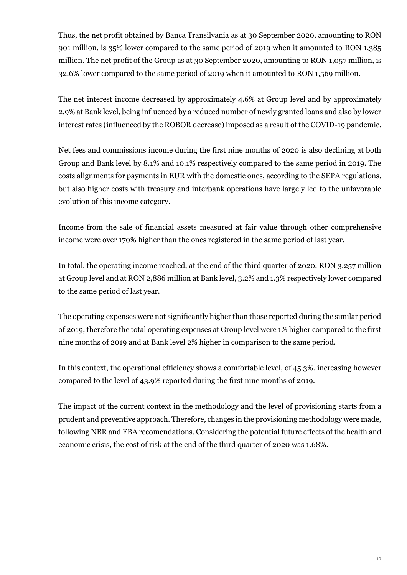Thus, the net profit obtained by Banca Transilvania as at 30 September 2020, amounting to RON 901 million, is 35% lower compared to the same period of 2019 when it amounted to RON 1,385 million. The net profit of the Group as at 30 September 2020, amounting to RON 1,057 million, is 32.6% lower compared to the same period of 2019 when it amounted to RON 1,569 million.

The net interest income decreased by approximately 4.6% at Group level and by approximately 2.9% at Bank level, being influenced by a reduced number of newly granted loans and also by lower interest rates (influenced by the ROBOR decrease) imposed as a result of the COVID-19 pandemic.

Net fees and commissions income during the first nine months of 2020 is also declining at both Group and Bank level by 8.1% and 10.1% respectively compared to the same period in 2019. The costs alignments for payments in EUR with the domestic ones, according to the SEPA regulations, but also higher costs with treasury and interbank operations have largely led to the unfavorable evolution of this income category.

Income from the sale of financial assets measured at fair value through other comprehensive income were over 170% higher than the ones registered in the same period of last year.

In total, the operating income reached, at the end of the third quarter of 2020, RON 3,257 million at Group level and at RON 2,886 million at Bank level, 3.2% and 1.3% respectively lower compared to the same period of last year.

The operating expenses were not significantly higher than those reported during the similar period of 2019, therefore the total operating expenses at Group level were 1% higher compared to the first nine months of 2019 and at Bank level 2% higher in comparison to the same period.

In this context, the operational efficiency shows a comfortable level, of 45.3%, increasing however compared to the level of 43.9% reported during the first nine months of 2019.

The impact of the current context in the methodology and the level of provisioning starts from a prudent and preventive approach. Therefore, changes in the provisioning methodology were made, following NBR and EBA recomendations. Considering the potential future effects of the health and economic crisis, the cost of risk at the end of the third quarter of 2020 was 1.68%.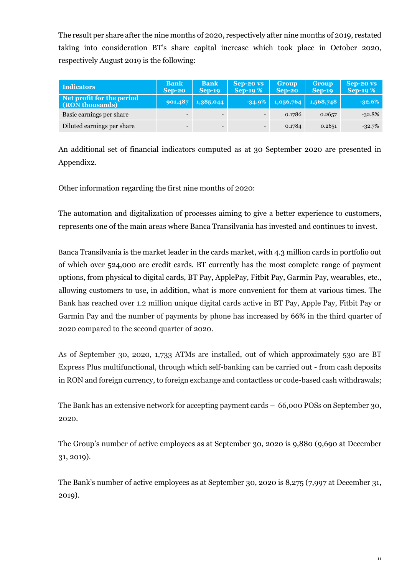The result per share after the nine months of 2020, respectively after nine months of 2019, restated taking into consideration BT's share capital increase which took place in October 2020, respectively August 2019 is the following:

| <b>Indicators</b>                            | <b>Bank</b><br>$Sep-20$ | <b>Bank</b><br>$Sep-19$  | Sep-20 vs<br>Sep-19 $%$ | <b>Group</b><br>$Sep-20$ | <b>Group</b><br>$Sep-19$ | $Sep-20 \text{ vs }$<br>Sep-19 $%$ |
|----------------------------------------------|-------------------------|--------------------------|-------------------------|--------------------------|--------------------------|------------------------------------|
| Net profit for the period<br>(RON thousands) | 901,487                 | 1,385,044                | $-34.9%$                | 1,056,764                | 1,568,748                | $-32.6%$                           |
| Basic earnings per share                     |                         | $\overline{\phantom{0}}$ |                         | 0.1786                   | 0.2657                   | $-32.8%$                           |
| Diluted earnings per share                   |                         | $\overline{\phantom{0}}$ |                         | 0.1784                   | 0.2651                   | $-32.7\%$                          |

An additional set of financial indicators computed as at 30 September 2020 are presented in Appendix2.

Other information regarding the first nine months of 2020:

The automation and digitalization of processes aiming to give a better experience to customers, represents one of the main areas where Banca Transilvania has invested and continues to invest.

Banca Transilvania is the market leader in the cards market, with 4.3 million cards in portfolio out of which over 524,000 are credit cards. BT currently has the most complete range of payment options, from physical to digital cards, BT Pay, ApplePay, Fitbit Pay, Garmin Pay, wearables, etc., allowing customers to use, in addition, what is more convenient for them at various times. The Bank has reached over 1.2 million unique digital cards active in BT Pay, Apple Pay, Fitbit Pay or Garmin Pay and the number of payments by phone has increased by 66% in the third quarter of 2020 compared to the second quarter of 2020.

As of September 30, 2020, 1,733 ATMs are installed, out of which approximately 530 are BT Express Plus multifunctional, through which self-banking can be carried out - from cash deposits in RON and foreign currency, to foreign exchange and contactless or code-based cash withdrawals;

The Bank has an extensive network for accepting payment cards – 66,000 POSs on September 30, 2020.

The Group's number of active employees as at September 30, 2020 is 9,880 (9,690 at December 31, 2019).

The Bank's number of active employees as at September 30, 2020 is 8,275 (7,997 at December 31, 2019).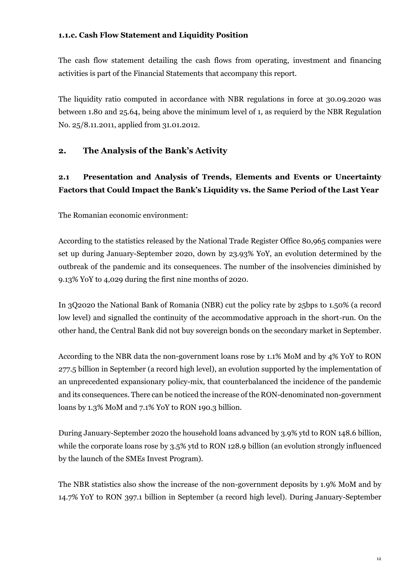#### **1.1.c. Cash Flow Statement and Liquidity Position**

The cash flow statement detailing the cash flows from operating, investment and financing activities is part of the Financial Statements that accompany this report.

The liquidity ratio computed in accordance with NBR regulations in force at 30.09.2020 was between 1.80 and 25.64, being above the minimum level of 1, as requierd by the NBR Regulation No. 25/8.11.2011, applied from 31.01.2012.

#### **2. The Analysis of the Bank's Activity**

### **2.1 Presentation and Analysis of Trends, Elements and Events or Uncertainty Factors that Could Impact the Bank's Liquidity vs. the Same Period of the Last Year**

The Romanian economic environment:

According to the statistics released by the National Trade Register Office 80,965 companies were set up during January-September 2020, down by 23.93% YoY, an evolution determined by the outbreak of the pandemic and its consequences. The number of the insolvencies diminished by 9.13% YoY to 4,029 during the first nine months of 2020.

In 3Q2020 the National Bank of Romania (NBR) cut the policy rate by 25bps to 1.50% (a record low level) and signalled the continuity of the accommodative approach in the short-run. On the other hand, the Central Bank did not buy sovereign bonds on the secondary market in September.

According to the NBR data the non-government loans rose by 1.1% MoM and by 4% YoY to RON 277.5 billion in September (a record high level), an evolution supported by the implementation of an unprecedented expansionary policy-mix, that counterbalanced the incidence of the pandemic and its consequences. There can be noticed the increase of the RON-denominated non-government loans by 1.3% MoM and 7.1% YoY to RON 190.3 billion.

During January-September 2020 the household loans advanced by 3.9% ytd to RON 148.6 billion, while the corporate loans rose by 3.5% ytd to RON 128.9 billion (an evolution strongly influenced by the launch of the SMEs Invest Program).

The NBR statistics also show the increase of the non-government deposits by 1.9% MoM and by 14.7% YoY to RON 397.1 billion in September (a record high level). During January-September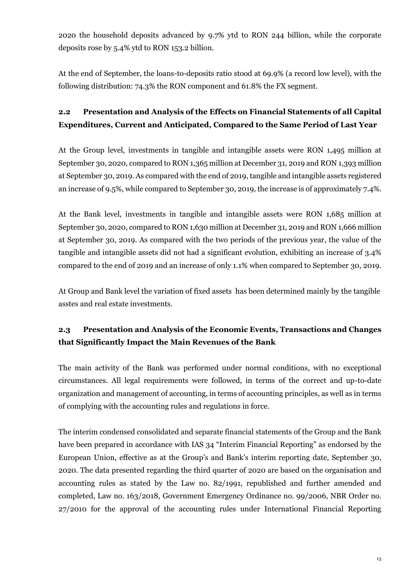2020 the household deposits advanced by 9.7% ytd to RON 244 billion, while the corporate deposits rose by 5.4% ytd to RON 153.2 billion.

At the end of September, the loans-to-deposits ratio stood at 69.9% (a record low level), with the following distribution: 74.3% the RON component and 61.8% the FX segment.

# **2.2 Presentation and Analysis of the Effects on Financial Statements of all Capital Expenditures, Current and Anticipated, Compared to the Same Period of Last Year**

At the Group level, investments in tangible and intangible assets were RON 1,495 million at September 30, 2020, compared to RON 1,365 million at December 31, 2019 and RON 1,393 million at September 30, 2019. As compared with the end of 2019, tangible and intangible assets registered an increase of 9.5%, while compared to September 30, 2019, the increase is of approximately 7.4%.

At the Bank level, investments in tangible and intangible assets were RON 1,685 million at September 30, 2020, compared to RON 1,630 million at December 31, 2019 and RON 1,666 million at September 30, 2019. As compared with the two periods of the previous year, the value of the tangible and intangible assets did not had a significant evolution, exhibiting an increase of 3.4% compared to the end of 2019 and an increase of only 1.1% when compared to September 30, 2019.

At Group and Bank level the variation of fixed assets has been determined mainly by the tangible asstes and real estate investments.

# **2.3 Presentation and Analysis of the Economic Events, Transactions and Changes that Significantly Impact the Main Revenues of the Bank**

The main activity of the Bank was performed under normal conditions, with no exceptional circumstances. All legal requirements were followed, in terms of the correct and up-to-date organization and management of accounting, in terms of accounting principles, as well as in terms of complying with the accounting rules and regulations in force.

The interim condensed consolidated and separate financial statements of the Group and the Bank have been prepared in accordance with IAS 34 "Interim Financial Reporting" as endorsed by the European Union, effective as at the Group's and Bank's interim reporting date, September 30, 2020. The data presented regarding the third quarter of 2020 are based on the organisation and accounting rules as stated by the Law no. 82/1991, republished and further amended and completed, Law no. 163/2018, Government Emergency Ordinance no. 99/2006, NBR Order no. 27/2010 for the approval of the accounting rules under International Financial Reporting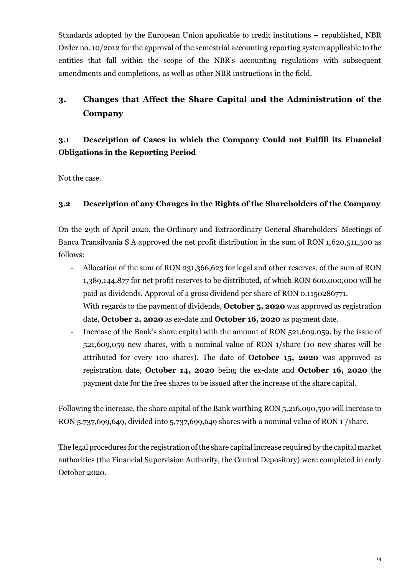Standards adopted by the European Union applicable to credit institutions – republished, NBR Order no. 10/2012 for the approval of the semestrial accounting reporting system applicable to the entities that fall within the scope of the NBR's accounting regulations with subsequent amendments and completions, as well as other NBR instructions in the field.

# **3. Changes that Affect the Share Capital and the Administration of the Company**

# **3.1 Description of Cases in which the Company Could not Fulfill its Financial Obligations in the Reporting Period**

Not the case.

#### **3.2 Description of any Changes in the Rights of the Shareholders of the Company**

On the 29th of April 2020, the Ordinary and Extraordinary General Shareholders' Meetings of Banca Transilvania S.A approved the net profit distribution in the sum of RON 1,620,511,500 as follows:

- Allocation of the sum of RON 231,366,623 for legal and other reserves, of the sum of RON 1,389,144,877 for net profit reserves to be distributed, of which RON 600,000,000 will be paid as dividends. Approval of a gross dividend per share of RON 0.1150286771. With regards to the payment of dividends, **October 5, 2020** was approved as registration date, **October 2, 2020** as ex-date and **October 16, 2020** as payment date.
- Increase of the Bank's share capital with the amount of RON 521,609,059, by the issue of 521,609,059 new shares, with a nominal value of RON 1/share (10 new shares will be attributed for every 100 shares). The date of **October 15, 2020** was approved as registration date, **October 14, 2020** being the ex-date and **October 16, 2020** the payment date for the free shares to be issued after the increase of the share capital.

Following the increase, the share capital of the Bank worthing RON 5,216,090,590 will increase to RON 5,737,699,649, divided into 5,737,699,649 shares with a nominal value of RON 1 /share.

The legal procedures for the registration of the share capital increase required by the capital market authorities (the Financial Supervision Authority, the Central Depository) were completed in early October 2020.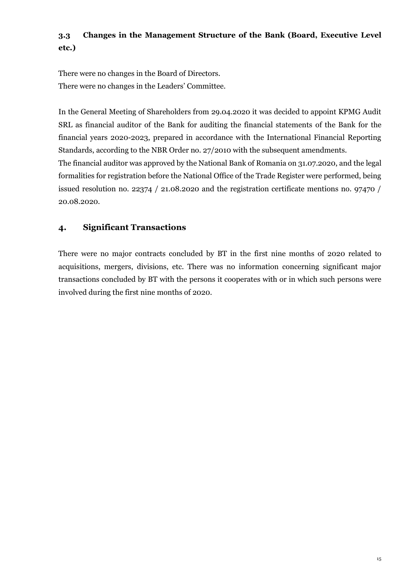# **3.3 Changes in the Management Structure of the Bank (Board, Executive Level etc.)**

There were no changes in the Board of Directors. There were no changes in the Leaders' Committee.

In the General Meeting of Shareholders from 29.04.2020 it was decided to appoint KPMG Audit SRL as financial auditor of the Bank for auditing the financial statements of the Bank for the financial years 2020-2023, prepared in accordance with the International Financial Reporting Standards, according to the NBR Order no. 27/2010 with the subsequent amendments. The financial auditor was approved by the National Bank of Romania on 31.07.2020, and the legal formalities for registration before the National Office of the Trade Register were performed, being issued resolution no. 22374 / 21.08.2020 and the registration certificate mentions no. 97470 / 20.08.2020.

### **4. Significant Transactions**

There were no major contracts concluded by BT in the first nine months of 2020 related to acquisitions, mergers, divisions, etc. There was no information concerning significant major transactions concluded by BT with the persons it cooperates with or in which such persons were involved during the first nine months of 2020.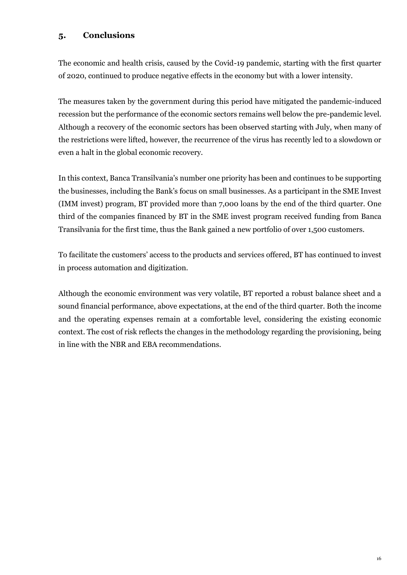#### **5. Conclusions**

The economic and health crisis, caused by the Covid-19 pandemic, starting with the first quarter of 2020, continued to produce negative effects in the economy but with a lower intensity.

The measures taken by the government during this period have mitigated the pandemic-induced recession but the performance of the economic sectors remains well below the pre-pandemic level. Although a recovery of the economic sectors has been observed starting with July, when many of the restrictions were lifted, however, the recurrence of the virus has recently led to a slowdown or even a halt in the global economic recovery.

In this context, Banca Transilvania's number one priority has been and continues to be supporting the businesses, including the Bank's focus on small businesses. As a participant in the SME Invest (IMM invest) program, BT provided more than 7,000 loans by the end of the third quarter. One third of the companies financed by BT in the SME invest program received funding from Banca Transilvania for the first time, thus the Bank gained a new portfolio of over 1,500 customers.

To facilitate the customers' access to the products and services offered, BT has continued to invest in process automation and digitization.

Although the economic environment was very volatile, BT reported a robust balance sheet and a sound financial performance, above expectations, at the end of the third quarter. Both the income and the operating expenses remain at a comfortable level, considering the existing economic context. The cost of risk reflects the changes in the methodology regarding the provisioning, being in line with the NBR and EBA recommendations.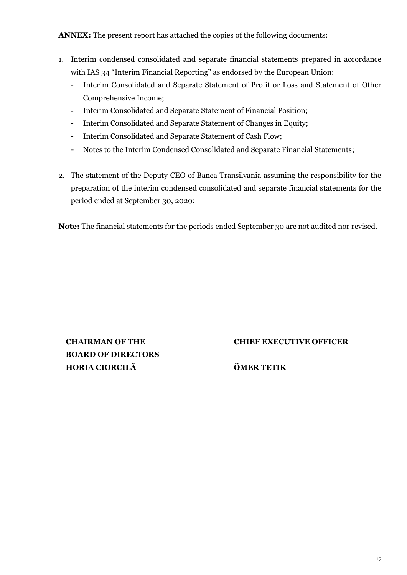**ANNEX:** The present report has attached the copies of the following documents:

- 1. Interim condensed consolidated and separate financial statements prepared in accordance with IAS 34 "Interim Financial Reporting" as endorsed by the European Union:
	- Interim Consolidated and Separate Statement of Profit or Loss and Statement of Other Comprehensive Income;
	- Interim Consolidated and Separate Statement of Financial Position;
	- Interim Consolidated and Separate Statement of Changes in Equity;
	- Interim Consolidated and Separate Statement of Cash Flow;
	- Notes to the Interim Condensed Consolidated and Separate Financial Statements;
- 2. The statement of the Deputy CEO of Banca Transilvania assuming the responsibility for the preparation of the interim condensed consolidated and separate financial statements for the period ended at September 30, 2020;

**Note:** The financial statements for the periods ended September 30 are not audited nor revised.

**CHAIRMAN OF THE BOARD OF DIRECTORS HORIA CIORCILĂ ÖMER TETIK**

**CHIEF EXECUTIVE OFFICER**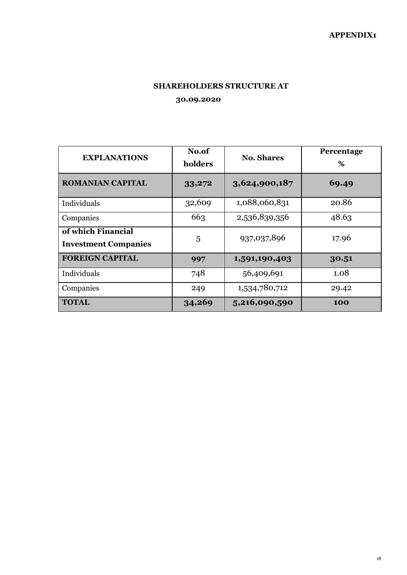#### **SHAREHOLDERS STRUCTURE AT**

**30.09.2020**

| <b>EXPLANATIONS</b>                               | No.of<br>holders | <b>No. Shares</b> | Percentage<br>% |  |
|---------------------------------------------------|------------------|-------------------|-----------------|--|
| <b>ROMANIAN CAPITAL</b>                           | 33,272           | 3,624,900,187     | 69.49           |  |
| Individuals                                       | 32,609           | 1,088,060,831     | 20.86           |  |
| Companies                                         | 663              | 2,536,839,356     | 48.63           |  |
| of which Financial<br><b>Investment Companies</b> | 5                | 937,037,896       | 17.96           |  |
| <b>FOREIGN CAPITAL</b>                            | 997              | 1,591,190,403     | 30.51           |  |
| Individuals                                       | 748              | 56,409,691        | 1.08            |  |
| Companies                                         | 249              | 1,534,780,712     | 29.42           |  |
| <b>TOTAL</b>                                      | 34,269           | 5,216,090,590     | 100             |  |